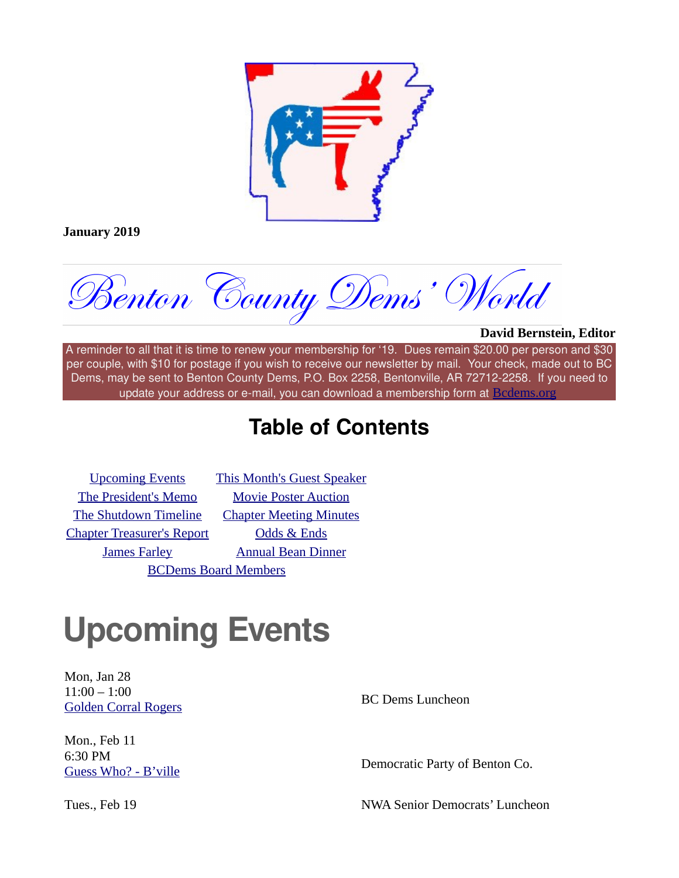

**January 2019**

Benton County Dems' World

#### **David Bernstein, Editor**

A reminder to all that it is time to renew your membership for '19. Dues remain \$20.00 per person and \$30 per couple, with \$10 for postage if you wish to receive our newsletter by mail. Your check, made out to BC Dems, may be sent to Benton County Dems, P.O. Box 2258, Bentonville, AR 72712-2258. If you need to update your address or e-mail, you can download a membership form at **[Bcdems.org](https://bcdems.us3.list-manage.com/track/click?u=164e810601a013c180cabf0d7&id=815f8260b8&e=f0862fc951)** 

### **Table of Contents**

[The President's Memo](imap://JCEwing.BCDems@imap.cox.net:993/fetch%3EUID%3E/INBOX%3E2679#President)<br> [Movie Poster Auction](imap://JCEwing.BCDems@imap.cox.net:993/fetch%3EUID%3E/INBOX%3E2679#TheFirm) [The Shutdown Timeline](imap://JCEwing.BCDems@imap.cox.net:993/fetch%3EUID%3E/INBOX%3E2679#Shutdown) [Chapter Meeting Minutes](imap://JCEwing.BCDems@imap.cox.net:993/fetch%3EUID%3E/INBOX%3E2679#Minutes) [Chapter Treasurer's Report](imap://JCEwing.BCDems@imap.cox.net:993/fetch%3EUID%3E/INBOX%3E2679#Treasurer) [Odds & Ends](imap://JCEwing.BCDems@imap.cox.net:993/fetch%3EUID%3E/INBOX%3E2679#Odds) [BCDems Board Members](imap://JCEwing.BCDems@imap.cox.net:993/fetch%3EUID%3E/INBOX%3E2679#Officers)

[Upcoming Events](imap://JCEwing.BCDems@imap.cox.net:993/fetch%3EUID%3E/INBOX%3E2679#Events) [This Month's Guest Speaker](imap://JCEwing.BCDems@imap.cox.net:993/fetch%3EUID%3E/INBOX%3E2679#Speaker) [James Farley](imap://JCEwing.BCDems@imap.cox.net:993/fetch%3EUID%3E/INBOX%3E2679#Obit) [Annual Bean Dinner](imap://JCEwing.BCDems@imap.cox.net:993/fetch%3EUID%3E/INBOX%3E2679#Bean)

### **Upcoming Events**

Mon, Jan 28  $11:00 - 1:00$ [Golden Corral Rogers](https://bcdems.us3.list-manage.com/track/click?u=164e810601a013c180cabf0d7&id=9a01aad334&e=f0862fc951) and The BC Dems Luncheon

Mon., Feb 11 6:30 PM

[Guess Who? - B'ville](https://bcdems.us3.list-manage.com/track/click?u=164e810601a013c180cabf0d7&id=db593735d4&e=f0862fc951) **Democratic Party of Benton Co.** 

Tues., Feb 19 **NWA Senior Democrats' Luncheon**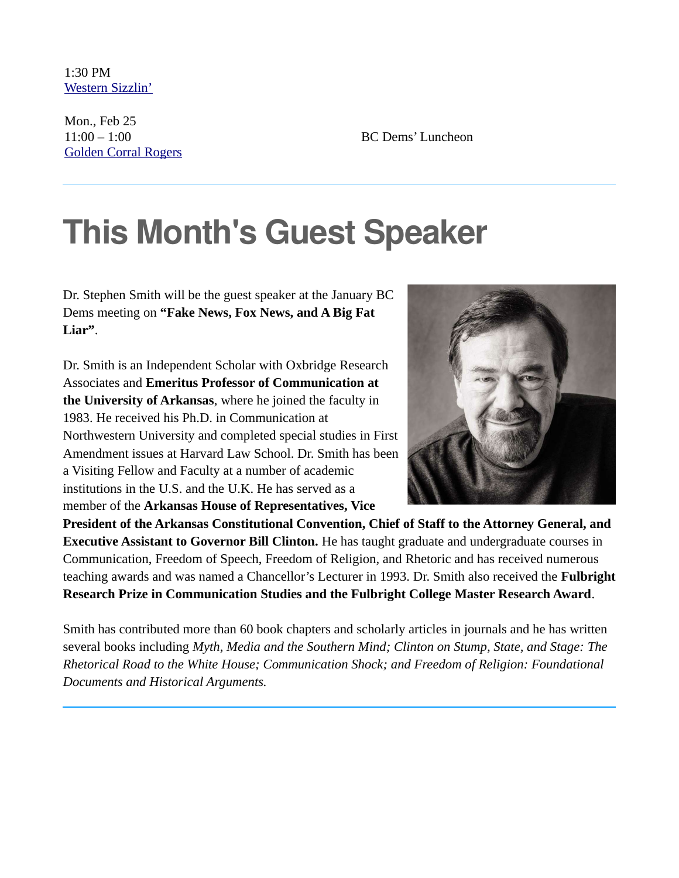1:30 PM [Western Sizzlin'](https://bcdems.us3.list-manage.com/track/click?u=164e810601a013c180cabf0d7&id=e37d7b06b7&e=f0862fc951)

Mon., Feb 25  $11:00 - 1:00$  [Golden Corral Rogers](https://bcdems.us3.list-manage.com/track/click?u=164e810601a013c180cabf0d7&id=2081c1f81a&e=f0862fc951)

BC Dems' Luncheon

### **This Month's Guest Speaker**

Dr. Stephen Smith will be the guest speaker at the January BC Dems meeting on **"Fake News, Fox News, and A Big Fat Liar"**.

Dr. Smith is an Independent Scholar with Oxbridge Research Associates and **Emeritus Professor of Communication at the University of Arkansas**, where he joined the faculty in 1983. He received his Ph.D. in Communication at Northwestern University and completed special studies in First Amendment issues at Harvard Law School. Dr. Smith has been a Visiting Fellow and Faculty at a number of academic institutions in the U.S. and the U.K. He has served as a member of the **Arkansas House of Representatives, Vice**



**President of the Arkansas Constitutional Convention, Chief of Staff to the Attorney General, and Executive Assistant to Governor Bill Clinton.** He has taught graduate and undergraduate courses in Communication, Freedom of Speech, Freedom of Religion, and Rhetoric and has received numerous teaching awards and was named a Chancellor's Lecturer in 1993. Dr. Smith also received the **Fulbright Research Prize in Communication Studies and the Fulbright College Master Research Award**.

Smith has contributed more than 60 book chapters and scholarly articles in journals and he has written several books including *Myth, Media and the Southern Mind; Clinton on Stump, State, and Stage: The Rhetorical Road to the White House; Communication Shock; and Freedom of Religion: Foundational Documents and Historical Arguments.*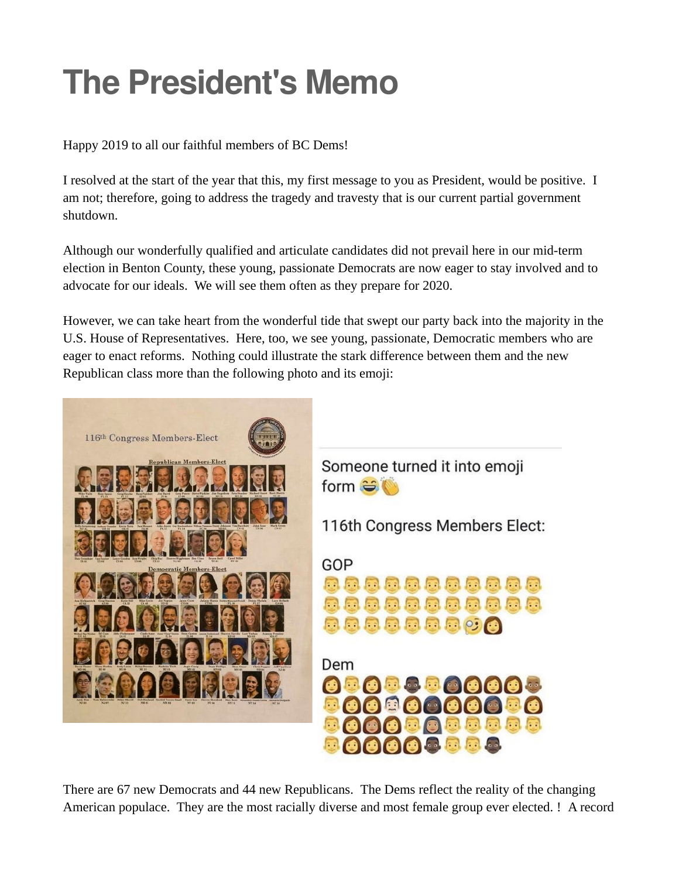## **The President's Memo**

Happy 2019 to all our faithful members of BC Dems!

I resolved at the start of the year that this, my first message to you as President, would be positive. I am not; therefore, going to address the tragedy and travesty that is our current partial government shutdown.

Although our wonderfully qualified and articulate candidates did not prevail here in our mid-term election in Benton County, these young, passionate Democrats are now eager to stay involved and to advocate for our ideals. We will see them often as they prepare for 2020.

However, we can take heart from the wonderful tide that swept our party back into the majority in the U.S. House of Representatives. Here, too, we see young, passionate, Democratic members who are eager to enact reforms. Nothing could illustrate the stark difference between them and the new Republican class more than the following photo and its emoji:



There are 67 new Democrats and 44 new Republicans. The Dems reflect the reality of the changing American populace. They are the most racially diverse and most female group ever elected. ! A record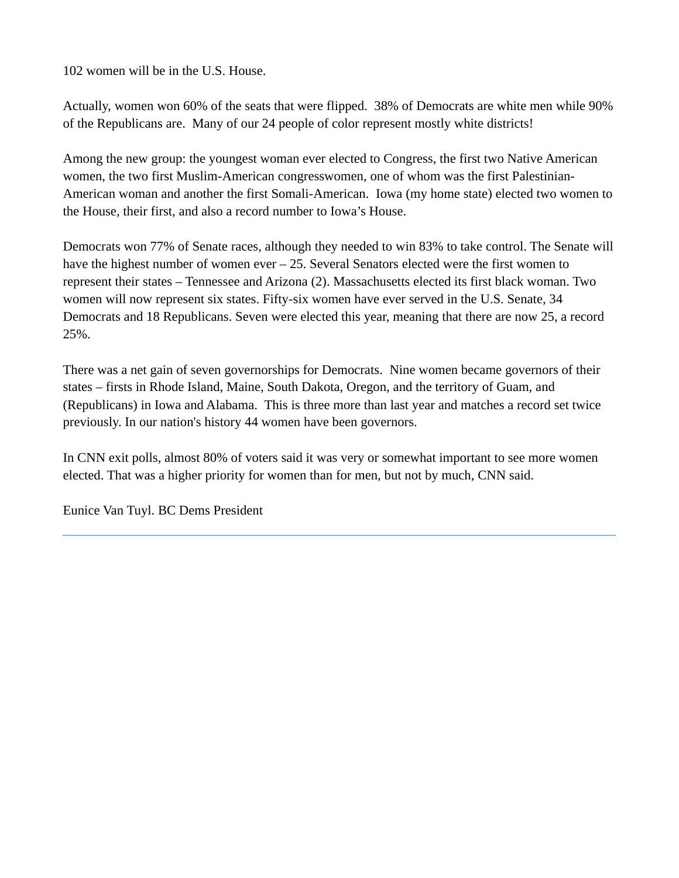102 women will be in the U.S. House.

Actually, women won 60% of the seats that were flipped. 38% of Democrats are white men while 90% of the Republicans are. Many of our 24 people of color represent mostly white districts!

Among the new group: the youngest woman ever elected to Congress, the first two Native American women, the two first Muslim-American congresswomen, one of whom was the first Palestinian-American woman and another the first Somali-American. Iowa (my home state) elected two women to the House, their first, and also a record number to Iowa's House.

Democrats won 77% of Senate races, although they needed to win 83% to take control. The Senate will have the highest number of women ever – 25. Several Senators elected were the first women to represent their states – Tennessee and Arizona (2). Massachusetts elected its first black woman. Two women will now represent six states. Fifty-six women have ever served in the U.S. Senate, 34 Democrats and 18 Republicans. Seven were elected this year, meaning that there are now 25, a record 25%.

There was a net gain of seven governorships for Democrats. Nine women became governors of their states – firsts in Rhode Island, Maine, South Dakota, Oregon, and the territory of Guam, and (Republicans) in Iowa and Alabama. This is three more than last year and matches a record set twice previously. In our nation's history 44 women have been governors.

In CNN exit polls, almost 80% of voters said it was very or somewhat important to see more women elected. That was a higher priority for women than for men, but not by much, CNN said.

Eunice Van Tuyl. BC Dems President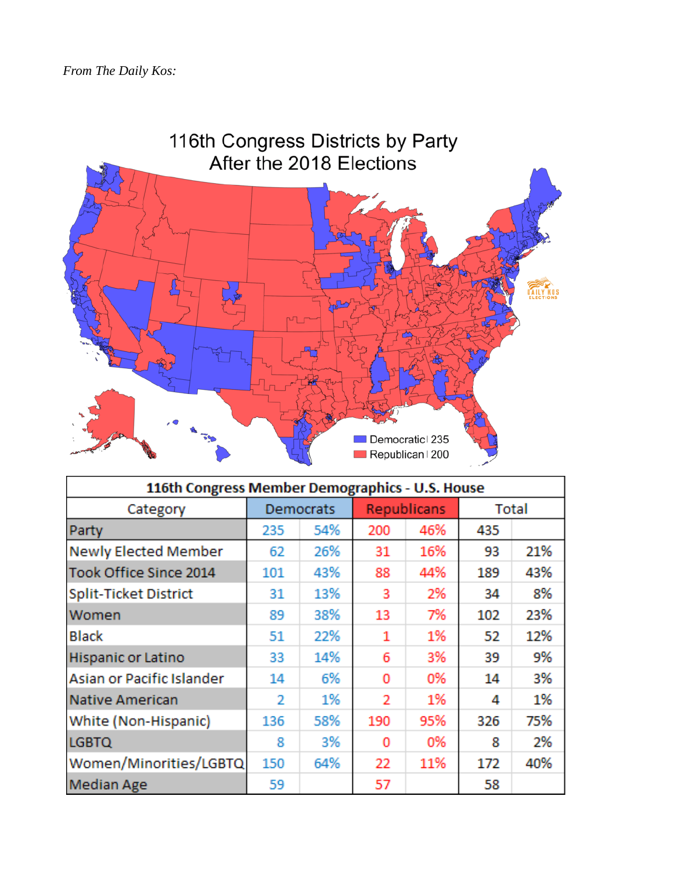

| 116th Congress Member Demographics - U.S. House |           |     |                    |     |       |     |
|-------------------------------------------------|-----------|-----|--------------------|-----|-------|-----|
| Category                                        | Democrats |     | <b>Republicans</b> |     | Total |     |
| Party                                           | 235       | 54% | 200                | 46% | 435   |     |
| <b>Newly Elected Member</b>                     | 62        | 26% | 31                 | 16% | 93    | 21% |
| Took Office Since 2014                          | 101       | 43% | 88                 | 44% | 189   | 43% |
| Split-Ticket District                           | 31        | 13% | 3                  | 2%  | 34    | 8%  |
| Women                                           | 89        | 38% | 13                 | 7%  | 102   | 23% |
| <b>Black</b>                                    | 51        | 22% | 1                  | 1%  | 52    | 12% |
| Hispanic or Latino                              | 33        | 14% | 6                  | 3%  | 39    | 9%  |
| Asian or Pacific Islander                       | 14        | 6%  | 0                  | 0%  | 14    | 3%  |
| Native American                                 | 2         | 1%  | 2                  | 1%  | 4     | 1%  |
| White (Non-Hispanic)                            | 136       | 58% | 190                | 95% | 326   | 75% |
| <b>LGBTQ</b>                                    | 8         | 3%  | 0                  | 0%  | 8     | 2%  |
| Women/Minorities/LGBTQ                          | 150       | 64% | 22                 | 11% | 172   | 40% |
| <b>Median Age</b>                               | 59        |     | 57                 |     | 58    |     |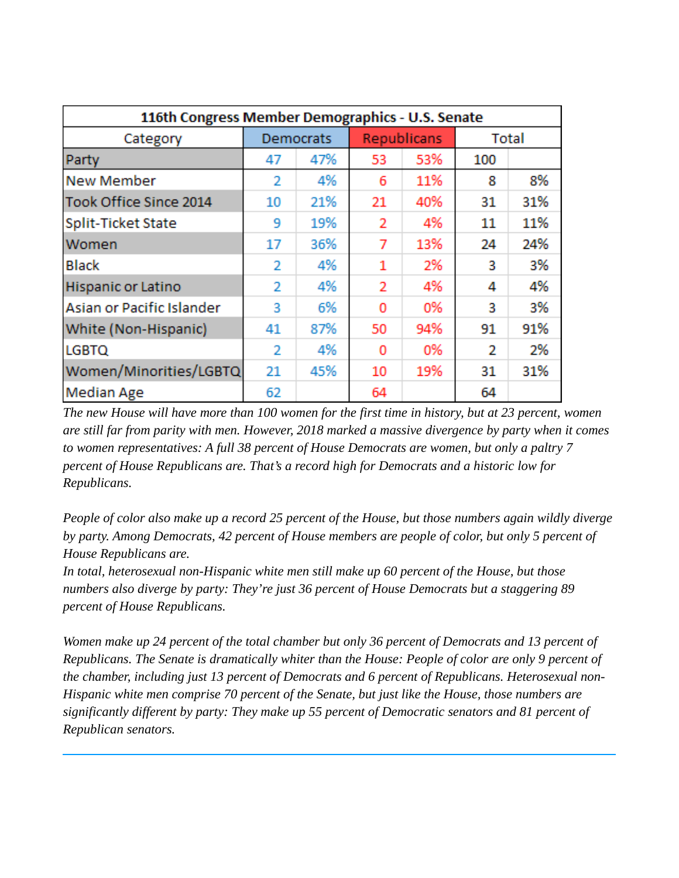| 116th Congress Member Demographics - U.S. Senate |                |     |                    |     |       |     |
|--------------------------------------------------|----------------|-----|--------------------|-----|-------|-----|
| Category                                         | Democrats      |     | <b>Republicans</b> |     | Total |     |
| Party                                            | 47             | 47% | 53                 | 53% | 100   |     |
| <b>New Member</b>                                | 2              | 4%  | 6                  | 11% | 8     | 8%  |
| Took Office Since 2014                           | 10             | 21% | 21                 | 40% | 31    | 31% |
| Split-Ticket State                               | 9              | 19% | 2                  | 4%  | 11    | 11% |
| Women                                            | 17             | 36% | 7                  | 13% | 24    | 24% |
| <b>Black</b>                                     | 2              | 4%  | 1                  | 2%  | 3     | 3%  |
| Hispanic or Latino                               | 2              | 4%  | 2                  | 4%  | 4     | 4%  |
| Asian or Pacific Islander                        | 3              | 6%  | 0                  | 0%  | 3     | 3%  |
| White (Non-Hispanic)                             | 41             | 87% | 50                 | 94% | 91    | 91% |
| <b>LGBTQ</b>                                     | $\overline{2}$ | 4%  | 0                  | 0%  | 2     | 2%  |
| Women/Minorities/LGBTQ                           | 21             | 45% | 10                 | 19% | 31    | 31% |
| <b>Median Age</b>                                | 62             |     | 64                 |     | 64    |     |

*The new House will have more than 100 women for the first time in history, but at 23 percent, women are still far from parity with men. However, 2018 marked a massive divergence by party when it comes to women representatives: A full 38 percent of House Democrats are women, but only a paltry 7 percent of House Republicans are. That's a record high for Democrats and a historic low for Republicans.*

*People of color also make up a record 25 percent of the House, but those numbers again wildly diverge by party. Among Democrats, 42 percent of House members are people of color, but only 5 percent of House Republicans are.*

*In total, heterosexual non-Hispanic white men still make up 60 percent of the House, but those numbers also diverge by party: They're just 36 percent of House Democrats but a staggering 89 percent of House Republicans.*

*Women make up 24 percent of the total chamber but only 36 percent of Democrats and 13 percent of Republicans. The Senate is dramatically whiter than the House: People of color are only 9 percent of the chamber, including just 13 percent of Democrats and 6 percent of Republicans. Heterosexual non-Hispanic white men comprise 70 percent of the Senate, but just like the House, those numbers are significantly different by party: They make up 55 percent of Democratic senators and 81 percent of Republican senators.*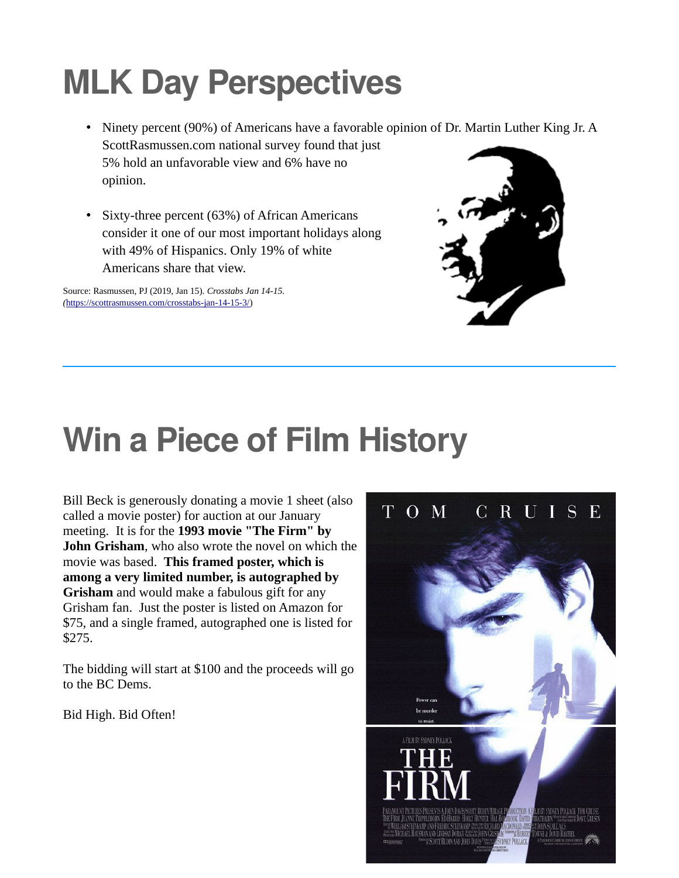# **MLK Day Perspectives**

- Ninety percent (90%) of Americans have a favorable opinion of Dr. Martin Luther King Jr. A ScottRasmussen.com national survey found that just 5% hold an unfavorable view and 6% have no opinion.
- Sixty-three percent (63%) of African Americans consider it one of our most important holidays along with 49% of Hispanics. Only 19% of white Americans share that view.

Source: Rasmussen, PJ (2019, Jan 15). *Crosstabs Jan 14-15. (*<https://scottrasmussen.com/crosstabs-jan-14-15-3/>)



### **Win a Piece of Film History**

Bill Beck is generously donating a movie 1 sheet (also called a movie poster) for auction at our January meeting. It is for the **1993 movie "The Firm" by John Grisham**, who also wrote the novel on which the movie was based. **This framed poster, which is among a very limited number, is autographed by Grisham** and would make a fabulous gift for any Grisham fan. Just the poster is listed on Amazon for \$75, and a single framed, autographed one is listed for \$275.

The bidding will start at \$100 and the proceeds will go to the BC Dems.

Bid High. Bid Often!

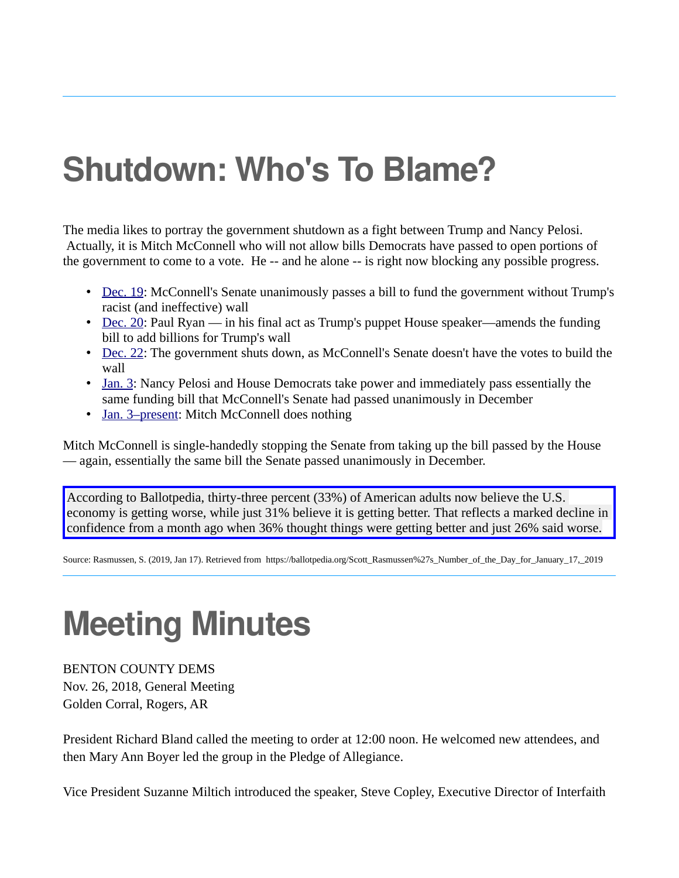### **Shutdown: Who's To Blame?**

The media likes to portray the government shutdown as a fight between Trump and Nancy Pelosi. Actually, it is Mitch McConnell who will not allow bills Democrats have passed to open portions of the government to come to a vote. He -- and he alone -- is right now blocking any possible progress.

- • [Dec. 19](https://bcdems.us3.list-manage.com/track/click?u=164e810601a013c180cabf0d7&id=49eea9ed53&e=f0862fc951): McConnell's Senate unanimously passes a bill to fund the government without Trump's racist (and ineffective) wall
- • [Dec. 20](https://bcdems.us3.list-manage.com/track/click?u=164e810601a013c180cabf0d7&id=d557b2d28b&e=f0862fc951): Paul Ryan in his final act as Trump's puppet House speaker—amends the funding bill to add billions for Trump's wall
- • [Dec. 22](https://bcdems.us3.list-manage.com/track/click?u=164e810601a013c180cabf0d7&id=310e62af5e&e=f0862fc951): The government shuts down, as McConnell's Senate doesn't have the votes to build the wall
- • [Jan. 3](https://bcdems.us3.list-manage.com/track/click?u=164e810601a013c180cabf0d7&id=8391e7d0cb&e=f0862fc951): Nancy Pelosi and House Democrats take power and immediately pass essentially the same funding bill that McConnell's Senate had passed unanimously in December
- • [Jan. 3–present:](https://bcdems.us3.list-manage.com/track/click?u=164e810601a013c180cabf0d7&id=414ea2051f&e=f0862fc951) Mitch McConnell does nothing

Mitch McConnell is single-handedly stopping the Senate from taking up the bill passed by the House — again, essentially the same bill the Senate passed unanimously in December.

According to Ballotpedia, thirty-three percent (33%) of American adults now believe the U.S. economy is getting worse, while just 31% believe it is getting better. That reflects a marked decline in confidence from a month ago when 36% thought things were getting better and just 26% said worse.

Source: Rasmussen, S. (2019, Jan 17). Retrieved from https://ballotpedia.org/Scott\_Rasmussen%27s\_Number\_of\_the\_Day\_for\_January\_17,\_2019

### **Meeting Minutes**

BENTON COUNTY DEMS Nov. 26, 2018, General Meeting Golden Corral, Rogers, AR

President Richard Bland called the meeting to order at 12:00 noon. He welcomed new attendees, and then Mary Ann Boyer led the group in the Pledge of Allegiance.

Vice President Suzanne Miltich introduced the speaker, Steve Copley, Executive Director of Interfaith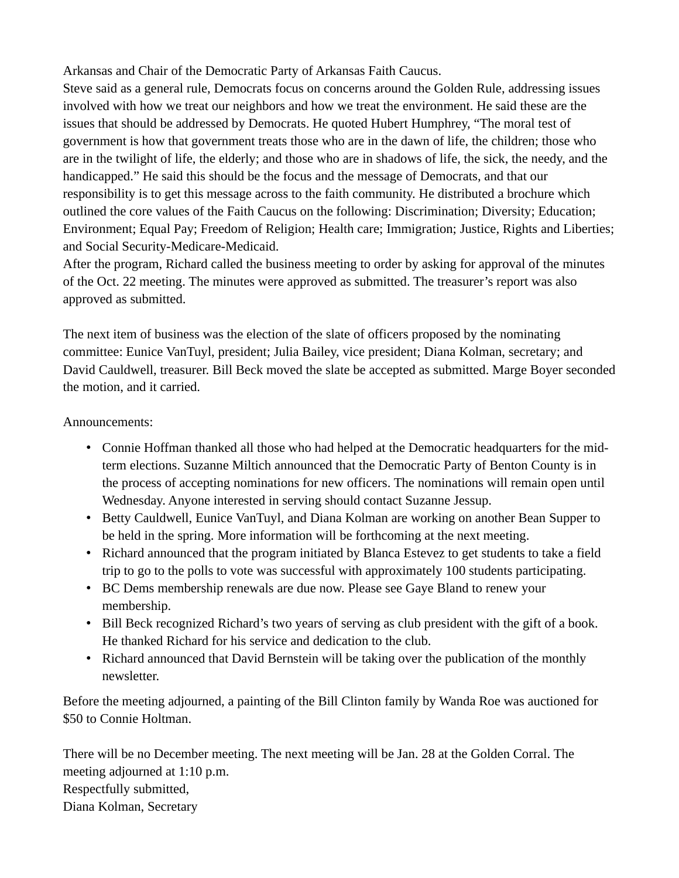Arkansas and Chair of the Democratic Party of Arkansas Faith Caucus.

Steve said as a general rule, Democrats focus on concerns around the Golden Rule, addressing issues involved with how we treat our neighbors and how we treat the environment. He said these are the issues that should be addressed by Democrats. He quoted Hubert Humphrey, "The moral test of government is how that government treats those who are in the dawn of life, the children; those who are in the twilight of life, the elderly; and those who are in shadows of life, the sick, the needy, and the handicapped." He said this should be the focus and the message of Democrats, and that our responsibility is to get this message across to the faith community. He distributed a brochure which outlined the core values of the Faith Caucus on the following: Discrimination; Diversity; Education; Environment; Equal Pay; Freedom of Religion; Health care; Immigration; Justice, Rights and Liberties; and Social Security-Medicare-Medicaid.

After the program, Richard called the business meeting to order by asking for approval of the minutes of the Oct. 22 meeting. The minutes were approved as submitted. The treasurer's report was also approved as submitted.

The next item of business was the election of the slate of officers proposed by the nominating committee: Eunice VanTuyl, president; Julia Bailey, vice president; Diana Kolman, secretary; and David Cauldwell, treasurer. Bill Beck moved the slate be accepted as submitted. Marge Boyer seconded the motion, and it carried.

#### Announcements:

- Connie Hoffman thanked all those who had helped at the Democratic headquarters for the midterm elections. Suzanne Miltich announced that the Democratic Party of Benton County is in the process of accepting nominations for new officers. The nominations will remain open until Wednesday. Anyone interested in serving should contact Suzanne Jessup.
- Betty Cauldwell, Eunice VanTuyl, and Diana Kolman are working on another Bean Supper to be held in the spring. More information will be forthcoming at the next meeting.
- Richard announced that the program initiated by Blanca Estevez to get students to take a field trip to go to the polls to vote was successful with approximately 100 students participating.
- BC Dems membership renewals are due now. Please see Gaye Bland to renew your membership.
- Bill Beck recognized Richard's two years of serving as club president with the gift of a book. He thanked Richard for his service and dedication to the club.
- Richard announced that David Bernstein will be taking over the publication of the monthly newsletter.

Before the meeting adjourned, a painting of the Bill Clinton family by Wanda Roe was auctioned for \$50 to Connie Holtman.

There will be no December meeting. The next meeting will be Jan. 28 at the Golden Corral. The meeting adjourned at 1:10 p.m. Respectfully submitted, Diana Kolman, Secretary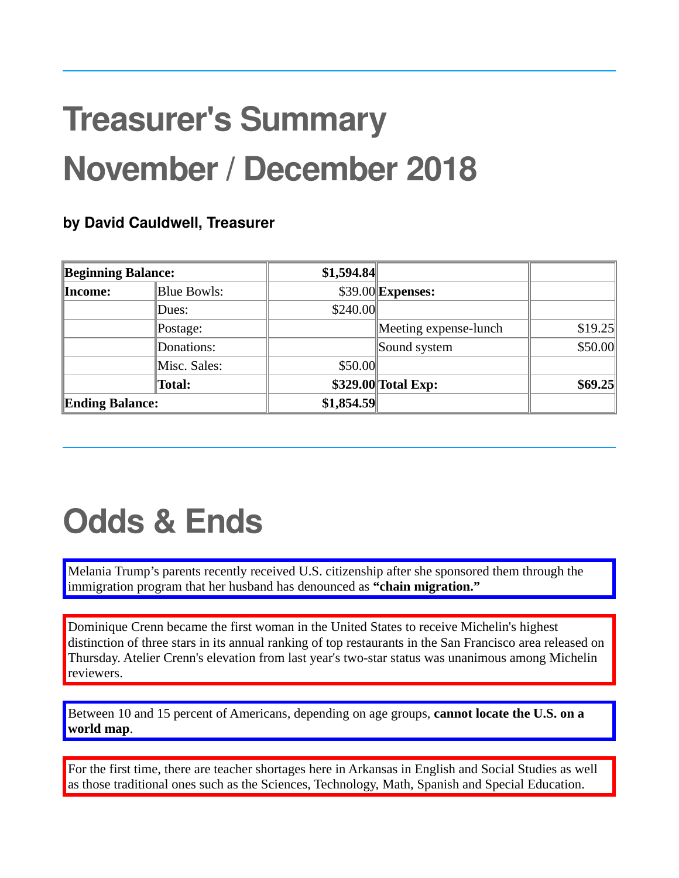# **Treasurer's Summary November / December 2018**

### **by David Cauldwell, Treasurer**

| Beginning Balance: |                    | \$1,594.84 |                       |         |
|--------------------|--------------------|------------|-----------------------|---------|
| ∥Income:           | <b>Blue Bowls:</b> |            | $$39.00$ Expenses:    |         |
|                    | Dues:              | \$240.00   |                       |         |
|                    | $\Delta$ Postage:  |            | Meeting expense-lunch | \$19.25 |
|                    | Donations:         |            | Sound system          | \$50.00 |
|                    | Misc. Sales:       | \$50.00    |                       |         |
|                    | Total:             |            | \$329.00 Total Exp:   | \$69.25 |
| Ending Balance:    |                    | \$1,854.59 |                       |         |

## **Odds & Ends**

Melania Trump's parents recently received U.S. citizenship after she sponsored them through the immigration program that her husband has denounced as **"chain migration."**

Dominique Crenn became the first woman in the United States to receive Michelin's highest distinction of three stars in its annual ranking of top restaurants in the San Francisco area released on Thursday. Atelier Crenn's elevation from last year's two-star status was unanimous among Michelin reviewers.

Between 10 and 15 percent of Americans, depending on age groups, **cannot locate the U.S. on a world map**.

For the first time, there are teacher shortages here in Arkansas in English and Social Studies as well as those traditional ones such as the Sciences, Technology, Math, Spanish and Special Education.